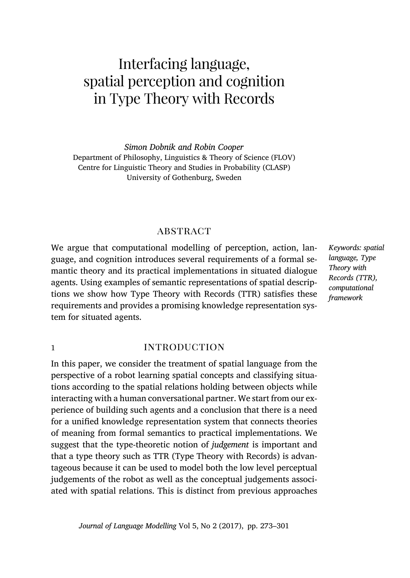# Interfacing language, spatial perception and cognition in Type Theory with Records

*Simon Dobnik and Robin Cooper* Department of Philosophy, Linguistics & Theory of Science (FLOV) Centre for Linguistic Theory and Studies in Probability (CLASP) University of Gothenburg, Sweden

# **ABSTRACT**

We argue that computational modelling of perception, action, language, and cognition introduces several requirements of a formal semantic theory and its practical implementations in situated dialogue agents. Using examples of semantic representations of spatial descriptions we show how Type Theory with Records (TTR) satisfies these requirements and provides a promising knowledge representation system for situated agents.

# 1 **introduction**

In this paper, we consider the treatment of spatial language from the perspective of a robot learning spatial concepts and classifying situations according to the spatial relations holding between objects while interacting with a human conversational partner. We start from our experience of building such agents and a conclusion that there is a need for a unified knowledge representation system that connects theories of meaning from formal semantics to practical implement[atio](#page-22-0)ns. We suggest that the type-theoretic notion of *judgement* is important and that a type theory such as TTR (Type Theory with Records) is advantageous because it can be used to model both the low level perceptual judgements of the robot as well as the conceptual judgements associated with spatial relations. This is distinct from previous approaches

*Keywords: spatial language, Type Theory with Records (TTR), computational framework*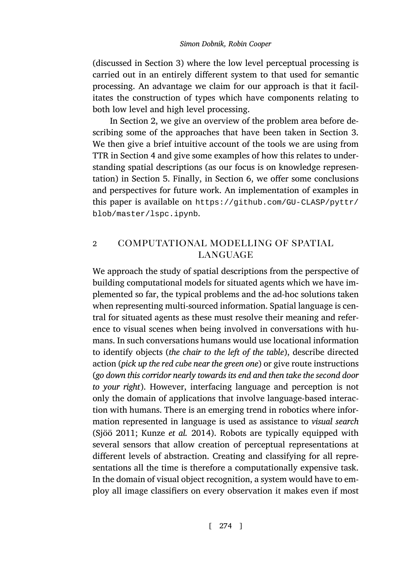(discussed in S[ec](#page-11-0)tion 3) where the low level perceptual processing is carried out in an entirely different system to that used for semantic processing. An ad[va](#page-15-0)ntage we claim for [o](#page-22-0)ur approach is that it facilitates the construction of types which have components relating to both low level and high le[vel processing.](https://github.com/GU-CLASP/pyttr/blob/master/lspc.ipynb)

In Section [2, we give an](https://github.com/GU-CLASP/pyttr/blob/master/lspc.ipynb) overview of the problem area before describing some of the approaches that have been taken in Section 3. We then give a brief intuitive account of the tools we are using from TTR in Section 4 and give some examples of how this relates to understanding spatial descriptions (as our focus is on knowledge representation) in Section 5. Finally, in Section 6, we offer some conclusions and perspectives for future work. An implementation of examples in this paper is available on https://github.com/GU-CLASP/pyttr/ blob/master/lspc.ipynb.

# 2 computational modelling of spatial **LANGUAGE**

We approach the study of spatial descriptions from the perspective of building computational models for situated agents which we have implemented so far, the typical problems and the ad-hoc solutions taken when representing multi-sourced information. Spatial language is central for situated agents as these must resolve their meaning and reference to visual scenes when being involved in conversations with hu[mans](#page-28-0). [In su](#page-28-0)c[h conversations hum](#page-26-0)ans would use locational information to identify objects (*the chair to the left of the table*), describe directed action (*pick up the red cube near the green one*) or give route instructions (*go down this corridor nearly towards its end and then take the second door to your right*). However, interfacing language and perception is not only the domain of applications that involve language-based interaction with humans. There is an emerging trend in robotics where information represented in language is used as assistance to *visual search* (Sjöö 2011; Kunze *et al.* 2014). Robots are typically equipped with several sensors that allow creation of perceptual representations at different levels of abstraction. Creating and classifying for all representations all the time is therefore a computationally expensive task. In the domain of visual object recognition, a system would have to employ all image classifiers on every observation it makes even if most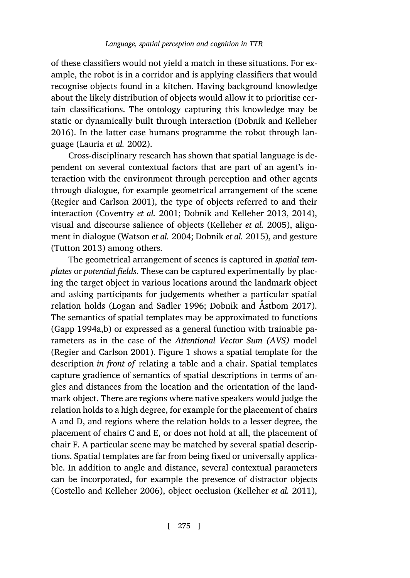of these classifiers would not yield a match in these situations. For example, the robot is in a corridor and is applying classifiers that would recognise objects found in a kitchen. Having background knowledge about the likely distribution of objects would allow it to prioritise cert[ain classifications. The o](#page-27-1)ntology capturing this knowledge may be static or dy[namically built throug](#page-24-0)[h interaction \(Dobnik and K](#page-25-0)[ellehe](#page-25-1)r 2016). In the latter case huma[ns pro](#page-28-1)[gra](#page-25-2)[mme the robot throu](#page-26-1)gh language (Lauria *et al.* [2002\).](#page-28-1)

[Cross-dis](#page-28-2)ciplinary research has shown that spatial language is dependent on several contextual factors that are part of an agent's interaction with the environment through perception and other agents through dialogue, for example geometrical arrangement of the scene (Regier and Carlson 2001), the type of objects referred to and their interaction (Coventry *et al.* [2001;](#page-27-2) [Dobn](#page-27-2)i[k and Kelleher](#page-24-1) 2013, [2014](#page-24-1)), visual and discourse salience of objects (Kelleher *et al.* 2005), align[ment in dialo](#page-26-2)[gu](#page-26-3)e (Watson *et al.* 2004; Dobnik *et al.* 2015), and gesture (Tutton 2013) among others.

[The geometrica](#page-27-1)l [arran](#page-27-1)gement [of](#page-3-0) scenes is captured in *spatial templates* or *potential fields*. These can be captured experimentally by placing the target object in various locations around the landmark object and asking participants for judgements whether a particular spatial relation holds (Logan and Sadler 1996; Dobnik and Åstbom 2017). The semantics of spatial templates may be approximated to functions (Gapp 1994a,b) or expressed as a general function with trainable parameters as in the case of the *Attentional Vector Sum (AVS)* model (Regier and Carlson 2001). Figure 1 shows a spatial template for the description *in front of* relating a table and a chair. Spatial templates capture gradience of semantics of spatial descriptions in terms of angles and distances from the location and the orientation of the land[mark object. There are region](#page-24-2)s where native spe[akers would judge th](#page-26-4)e relation holds to a high degree, for example for the placement of chairs A and D, and regions where the relation holds to a lesser degree, the placement of chairs C and E, or does not hold at all, the placement of chair F. A particular scene may be matched by several spatial descriptions. Spatial templates are far from being fixed or universally applicable. In addition to angle and distance, several contextual parameters can be incorporated, for example the presence of distractor objects (Costello and Kelleher 2006), object occlusion (Kelleher *et al.* 2011),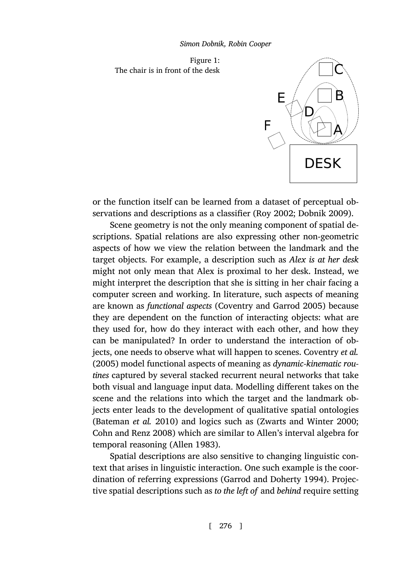*Simon Dobnik, Robin Cooper*

<span id="page-3-0"></span>Figure 1: The chair is in front of the desk



or the function itself can be learned from a dataset of perceptual observations and descriptions as a [classifier \(Roy](#page-24-4) 2002; [Dobnik](#page-24-4) 2009).

Scene geometry is not the only meaning component of spatial descriptions. Spatial relations are also expressing other non-geometric aspects of how we view the relation between the landmark and the target objects. For example, a description such as *Ale[x is at her desk](#page-24-5)* [might](#page-24-5) not only mean that Alex is proximal to her desk. Instead, we might interpret the description that she is sitting in her chair facing a computer screen and working. In literature, such aspects of meaning are known as *functional aspects* (Coventry and Garrod 2005) because they are dependent on the function of interacting objects: what are t[hey used for, how d](#page-23-0)o they interact with [each other, and how they](#page-28-3) [can be manipulated?](#page-23-1) In order to understand the interaction of objects, one needs to o[bserve what](#page-23-2) will happen to scenes. Coventry *et al.* (2005) model functional aspects of meaning as *dynamic-kinematic routines* captured by several stacked recurrent neural networks that take both visual and language input da[ta. Modelling different tak](#page-26-5)es on the scene and the relations into which the target and the landmark objects enter leads to the development of qualitative spatial ontologies (Bateman *et al.* 2010) and logics such as (Zwarts and Winter 2000; Cohn and Renz 2008) which are similar to Allen's interval algebra for temporal reasoning (Allen 1983).

Spatial descriptions are also sensitive to changing linguistic context that arises in linguistic interaction. One such example is the coordination of referring expressions (Garrod and Doherty 1994). Projective spatial descriptions such as *to the left of* and *behind* require setting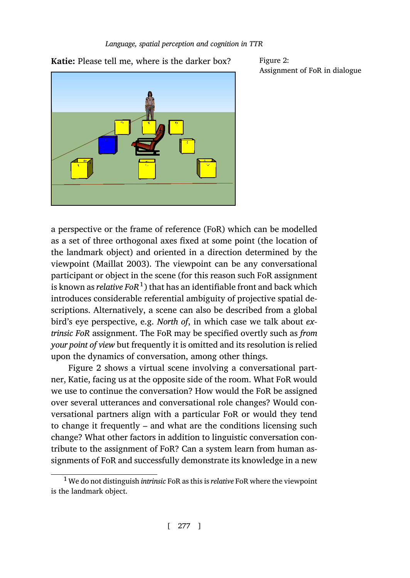**Katie:** Please tell me, where is the darker box? Figure 2:

<span id="page-4-0"></span>Assignment of FoR in dialogue

a perspective or the frame of reference (FoR) which can be modelled as a set of three orthogonal axes fixed at some point (the location of the landmark object) and oriented in a direction determined by the viewpoint (Maillat 2003). The viewpoint can be any conversational participant [or](#page-4-0) object in the scene (for this reason such FoR assignment is known as *relative FoR*<sup>1</sup> ) that has an identifiable front and back which introduces considerable referential ambiguity of projective spatial descriptions. Alternatively, a scene can also be described from a global bird's eye perspective, e.g. *North of*, in which case we talk about *extrinsic FoR* assignment. The FoR may be specified overtly such as *from your point of view* but frequently it is omitted and its resolution is relied upon the dynamics of conversation, among other things.

Figure 2 shows a virtual scene involving a conversational partner, Katie, facing us at the opposite side of the room. What FoR would we use to continue the conversation? How would the FoR be assigned over several utterances and conversational role changes? Would conversational partners align with a particular FoR or would they tend to change it frequently – and what are the conditions licensing such change? What other factors in addition to linguistic conversation contribute to the assignment of FoR? Can a system learn from human assignments of FoR and successfully demonstrate its knowledge in a new

<sup>1</sup>We do not distinguish *intrinsic* FoR as this is *relative* FoR where the viewpoint is the landmark object.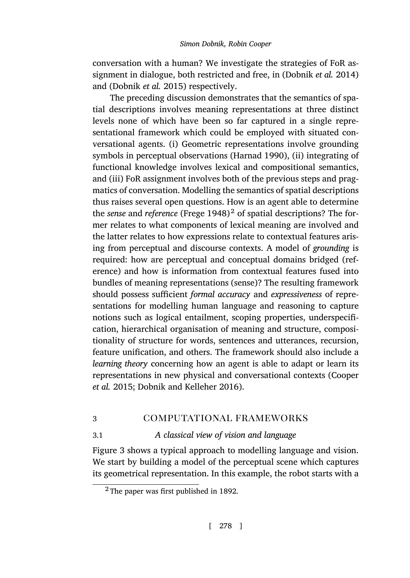conversation with a human? We in[vestigate the st](#page-26-6)rategies of FoR assignment in dialogue, both restricted and free, in (Dobnik *et al.* 2014) and (Dobnik *et al.* 2015) respectively.

The preceding discussion demonstrates that the semantics of spatial descriptions involves meaning representations at three distinct levels none of which [have been s](#page-25-3)o far captured in a single representational framework which could be employed with situated conversational agents. (i) Geometric representations involve grounding symbols in perceptual observations (Harnad 1990), (ii) integrating of functional knowledge involves lexical and compositional semantics, and (iii) FoR assignment involves both of the previous steps and pragmatics of conversation. Modelling the semantics of spatial descriptions thus raises several open questions. How is an agent able to determine the *sense* and *reference* (Frege 1948) <sup>2</sup> of spatial descriptions? The former relates to what components of lexical meaning are involved and the latter relates to how expressions relate to contextual features arising from perceptual and discourse contexts. A model of *grounding* is required: how are perceptual and conceptual domains bridged (reference) and how is information from contextual features fused into bundles of meaning representations (sense)? The resulting fra[mework](#page-24-6) [should pos](#page-24-6)s[ess sufficient](#page-25-4) *formal [accura](#page-25-4)cy* and *expressiveness* of representations for modelling human language and reasoning to capture notions such as logical entailment, scoping properties, underspecification, hierarchical organisation of meaning and structure, compositionality of structure for words, sentences and utterances, recursion, feature [u](#page-6-0)nification, and others. The framework should also include a *learning theory* concerning how an agent is able to adapt or learn its representations in new physical and conversational contexts (Cooper *et al.* 2015; Dobnik and Kelleher 2016).

# 3 computational frameworks

# 3.1 *A classical view of vision and language*

Figure 3 shows a typical approach to modelling language and vision. We start by building a model of the perceptual scene which captures its geometrical representation. In this example, the robot starts with a

<sup>2</sup> The paper was first published in 1892.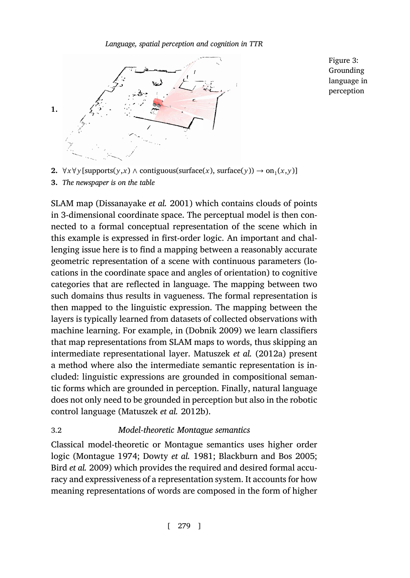

<span id="page-6-0"></span>Figure 3: Grounding language in perception

**2.**  $∀x∀y$ [supports(*y*,*x*) ∧ contiguous(surface(*x*), surface(*y*)) → on<sub>1</sub>(*x*,*y*)] **3.** *The newspaper is on the table*

SLAM map (Dissanayake *et al.* 2001) which contains clouds of points in 3-dimensional coordinate space. The perceptual model is then connected to a formal conceptual representation of the scene which in this example is expressed in first-or[der logic. An](#page-24-3) important and challenging issue here is to find a mapping between a reasonably accurate geometric representation of a scene [with continuous param](#page-27-4)eters (locations in the coordinate space and angles of orientation) to cognitive categories that are reflected in language. The mapping between two such domains thus results in vagueness. The formal representation is then mapped to the linguistic expression. The mapping between the layers is typically [learned from datasets o](#page-27-5)f collected observations with machine learning. For example, in (Dobnik 2009) we learn classifiers that map representations from SLAM maps to words, thus skipping an intermediate representational layer. Matuszek *et al.* (2012a) present a met[hod where also t](#page-27-6)[he intermediate sem](#page-25-5)[antic representation is in](#page-23-3)[cluded: linguist](#page-23-4)ic expressions are grounded in compositional semantic forms which are grounded in perception. Finally, natural language does not only need to be grounded in perception but also in the robotic control language (Matuszek *et al.* 2012b).

# 3.2 *Model-theoretic Montague semantics*

Classical model-theoretic or Montague semantics uses higher order logic (Montague 1974; Dowty *et al.* 1981; Blackburn and Bos 2005; Bird *et al.* 2009) which provides the required and desired formal accuracy and expressiveness of a representation system. It accounts for how meaning representations of words are composed in the form of higher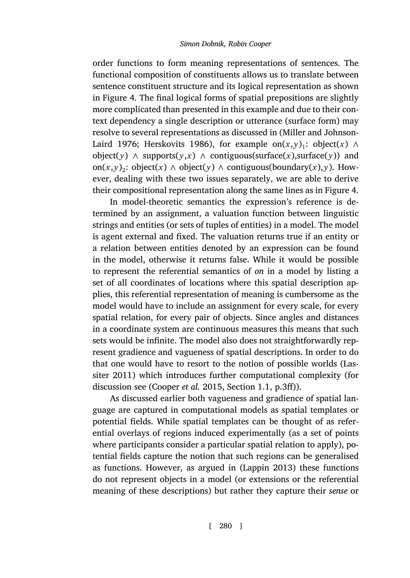order functions to form meaning representations of sentences. The functional composition of constituents allows us to translate between sentence constituent structure and its logical representation as shown in Figure 4. The final logical forms of spatial prepositions are sligh[tly](#page-8-0) more complicated than presented in this example and due to their context dependency a single description or utterance (surface form) may resolve to several representations as discussed in (Miller and Johnson-Laird 1976; Herskovits 1986), for example on $(x, y)$ <sub>1</sub>: object $(x) \wedge y$ object( $y$ ) ∧ supports( $y$ , $x$ ) ∧ contiguous(surface( $x$ ),surface( $y$ )) and  $\text{on}(x,y)_2$ : object(*x*) ∧ object(*y*) ∧ contiguous(boundary(*x*),*y*). However, dealing with these two issues separately, we are able to derive their compositional representation along the same lines as in Figure 4.

In model-theoretic semantics the expression's reference is determined by an assignment, a valuation function between linguistic strings and entities (or sets of tuples of entities) in a model. The model is agent external and fixed. The valuation returns true if an entity or a relation between entities denoted by an expression can be found in the model, otherwise it returns false. While it would be possible to represent the referential semantics of *on* in a model by listi[ng a](#page-26-8) [set of all c](#page-26-8)oordinates of locations where this spatial description applies, this refer[ential representatio](#page-24-6)n of meaning is cumbersome as the model would have to include an assignment for every scale, for every spatial relation, for every pair of objects. Since angles and distances in a coordinate system are continuous measures this means that such sets would be infinite. The model also does not straightforwardly represent gradience and vagueness of spatial descriptions. In order to do that one would have to resort to the notion of possible worlds (Lassiter 2011) which introduces further [computationa](#page-26-9)l complexity (for discussion see (Cooper *et al.* 2015, Section 1.1, p.3ff)).

As discussed earlier both vagueness and gradience of spatial language are captured in computational models as spatial templates or potential fields. While spatial templates can be thought of as referential overlays of regions induced experimentally (as a set of points where participants consider a particular spatial relation to apply), potential fields capture the notion that such regions can be generalised as functions. However, as argued in (Lappin 2013) these functions do not represent objects in a model (or extensions or the referential meaning of these descriptions) but rather they capture their *sense* or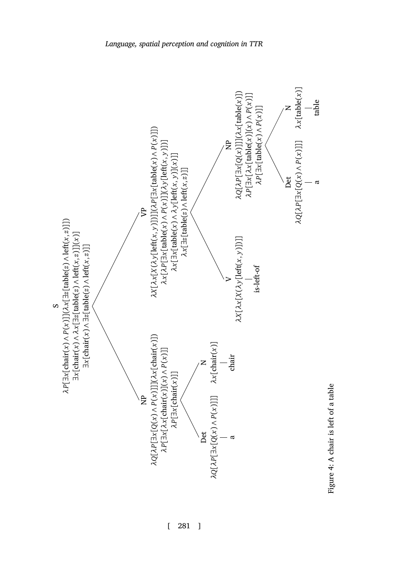

<span id="page-8-0"></span>Figure 4: A chair is left of a table Figure 4: A chair is left of a table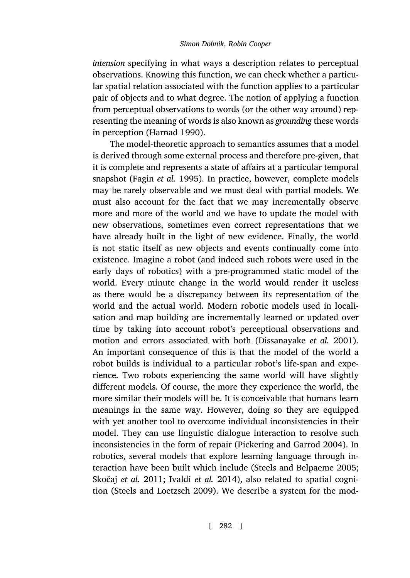*intension* specifying in what ways a description relates to perceptual observations. Knowing this function, we can check whether a particular spatial [relation associate](#page-25-6)d with the function applies to a particular pair of objects and to what degree. The notion of applying a function from perceptual observations to words (or the other way around) representing the meaning of words is also known as *grounding* these words in perception (Harnad 1990).

The model-theoretic approach to semantics assumes that a model is derived through some external process and therefore pre-given, that it is complete and represents a state of affairs at a particular temporal snapshot (Fagin *et al.* 1995). In practice, however, complete models may be rarely observable and we must deal with partial models. We must also account for the fact that we may incrementally observe more and more of the world and we have to update the model with new observations, sometimes even correct representations that we have already built in the light of new evidence. Finally, the world is not static itself as new objects and eve[nts continually come int](#page-24-7)o existence. Imagine a robot (and indeed such robots were used in the early days of robotics) with a pre-programmed static model of the world. Every minute change in the world would render it useless as there would be a discrepancy between its representation of the world and the actual world. Modern robotic models used in localisation and map building are incrementally learned or updated over time by taking into account robot's perceptional observations and motion and errors associated with both (Dissanayake *et al.* 2001). An important consequence of this is [that the model of the wor](#page-27-7)ld a robot builds is individual to a particular robot's life-span and experience. Two robots experiencing the sa[me world will have s](#page-28-4)l[ightly](#page-28-4) [different models. O](#page-28-5)[f course, the more](#page-26-10) they experience the world, the more [similar their models will b](#page-28-6)e. It is conceivable that humans learn meanings in the same way. However, doing so they are equipped with yet another tool to overcome individual inconsistencies in their model. They can use linguistic dialogue interaction to resolve such inconsistencies in the form of repair (Pickering and Garrod 2004). In robotics, several models that explore learning language through interaction have been built which include (Steels and Belpaeme 2005; Skočaj *et al.* 2011; Ivaldi *et al.* 2014), also related to spatial cognition (Steels and Loetzsch 2009). We describe a system for the mod-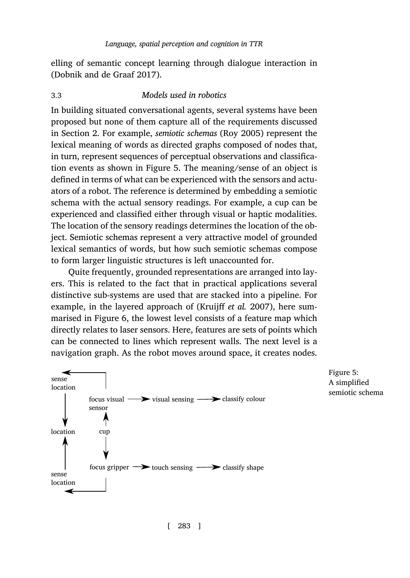elling of semantic concept learning through dialogue interaction in (Dobnik and de Graaf 2017).

## 3.3 *Models used in robotics*

In building situated conversational agents, several systems have been proposed but none of them capture all of the requirements discussed in Section 2. For example, *semiotic schemas* (Roy 2005) represent the lexical meaning of words as directed graphs composed of nodes that, in turn, represent sequences of perceptual observations and classification events as shown in Figure 5. The meaning/sense of an object is defined in terms of what can be experienced with the sensors and actuators of a robot. The reference is determined by embedding a semiotic schema with the actual sensory readings. For example, a cup can be experienced and classified either thro[ugh visual or haptic](#page-26-11) modalities. The location of th[e s](#page-11-1)ensory readings determines the location of the object. Semiotic schemas represent a very attractive model of grounded lexical semantics of words, but how such semiotic schemas compose to form larger linguistic structures is left unaccounted for.

Quite frequently, grounded representations are arranged into layers. This is related to the fact that in practical applications several distinctive sub-systems are used that are stacked into a pipeline. For example, in the layered approach of (Kruijff *et al.* 2007), here summarised in Figure 6, the lowest level consists of a feature map which directly relates to laser sensors. Here, features are sets of points which can be connected to lines which represent walls. The next level is a navigation graph. As the robot moves around space, it creates nodes.



Figure 5: A simplified semiotic schema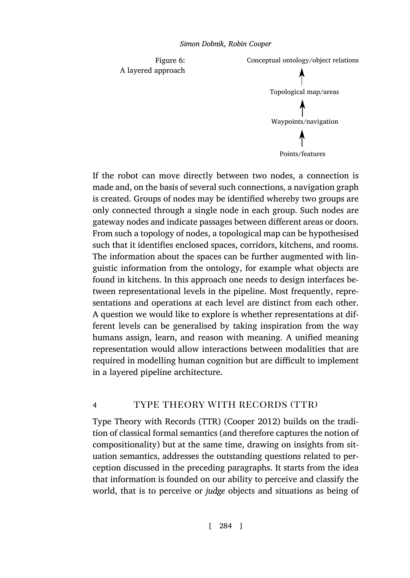

<span id="page-11-1"></span>

If the robot can move directly between two nodes, a connection is made and, on the basis of several such connections, a navigation graph is created. Groups of nodes may be identified whereby two groups are only connected through a single node in each group. Such nodes are gateway nodes and indicate passages between different areas or doors. From such a topology of nodes, a topological map can be hypothesised such that it identifies enclosed spaces, corridors, kitchens, and rooms. The information about the spaces can be further augmented with linguistic information from the ontology, for example what objects are found in kitchens. In this approach one needs to design interfaces between representational levels in the pipeline. Most frequently, representations and operations at each level are distinct from each other. A question we would like to explore is whether representations at different levels can be generalised b[y taking inspi](#page-23-5)ration from the way humans assign, learn, and reason with meaning. A unified meaning representation would allow interactions between modalities that are required in modelling human cognition but are difficult to implement in a layered pipeline architecture.

# <span id="page-11-0"></span>4 TYPE THEORY WITH RECORDS (TTR)

Type Theory with Records (TTR) (Cooper 2012) builds on the tradition of classical formal semantics (and therefore captures the notion of compositionality) but at the same time, drawing on insights from situation semantics, addresses the outstanding questions related to perception discussed in the preceding paragraphs. It starts from the idea that information is founded on our ability to perceive and classify the world, that is to perceive or *judge* objects and situations as being of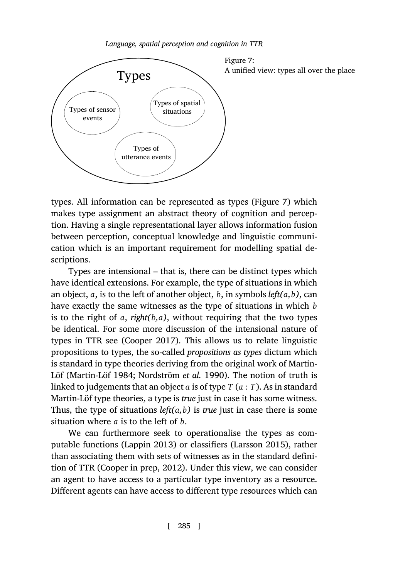

*Language, spatial perception and cognition in TTR*

types. All information can be represented as types (Figure 7) which makes type assignment an abstract theory of cognition and perception. Having a single representational layer allows information fusion between perception, conceptual knowledge and linguistic communication which is an [important re](#page-23-6)quirement for modelling spatial descriptions.

Types are intensional – that is, there can be distinct types which have [identical extensi](#page-27-8)o[ns. For example, the ty](#page-27-9)pe of situations in which an object, *a*, is to the left of another object, *b*, in symbols *left(a,b)*, can have exactly the same witnesses as the type of situations in which *b* is to the right of *a*, *right(b,a)*, without requiring that the two types be identical. For some more discussion of the intensional nature of types in TTR see (Cooper 2017). This allows us to relate linguistic propositions to typ[es, the so-call](#page-26-9)ed *propositions [as types](#page-26-12)* [dictum](#page-26-12) which is standard in type theories deriving from the original work of Martin-Löf (Martin-Löf [198](#page-23-7)4; [Nord](#page-23-7)s[tröm](#page-23-5) *et al.* 1990). The notion of truth is linked to judgements that an object *a* is of type *T* (*a* : *T*). As in standard Martin-Löf type theories, a type is *true* just in case it has some witness. Thus, the type of situations  $left(a, b\right)$  is *true* just in case there is some situation where *a* is to the left of *b*.

We can furthermore seek to operationalise the types as computable functions (Lappin 2013) or classifiers (Larsson 2015), rather than associating them with sets of witnesses as in the standard definition of TTR (Cooper in prep, 2012). Under this view, we can consider an agent to have access to a particular type inventory as a resource. Different agents can have access to different type resources which can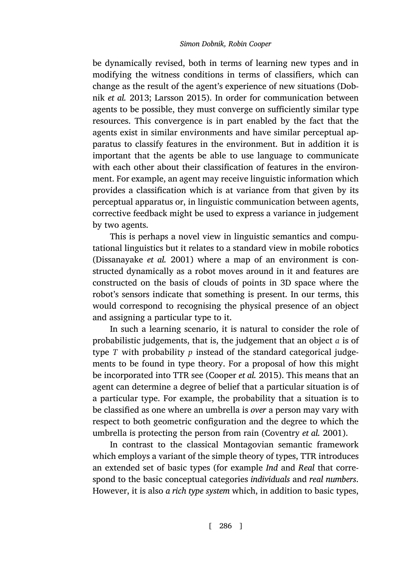be dynamically revised, both in terms of learning new types and in modifying the witness conditions in terms of classifiers, which can change as the result of the agent's experience of new situations (Dobnik *et al.* 2013; Larsson 2015). In order for communication between agents to be possible, they must converge on sufficiently similar type resources. This convergence is in part enabled by the fact that the agents exist in similar environments and have similar perceptual apparatus to classify features in the environment. But in addition it is important that the agents be able to use language to communicate [with each other about the](#page-24-7)ir classification of features in the environment. For example, an agent may receive linguistic information which provides a classification which is at variance from that given by its perceptual apparatus or, in linguistic communication between agents, corrective feedback might be used to express a variance in judgement by two agents.

This is perhaps a novel view in linguistic semantics and computational linguistics but it relates to a standard view in mobile robotics (Dissanayake *et al.* 2001) where a map of an environment is constructed dynamically as a robot moves around in it and features are constructed on the basis of c[louds of points in](#page-24-6) 3D space where the robot's sensors indicate that something is present. In our terms, this would correspond to recognising the physical presence of an object and assigning a particular type to it.

In such a learning scenario, it is natural to consider the role of probabilistic judgements, that is, the judge[ment that an object](#page-24-0) *a* is of type *T* with probability *p* instead of the standard categorical judgements to be found in type theory. For a proposal of how this might be incorporated into TTR see (Cooper *et al.* 2015). This means that an agent can determine a degree of belief that a particular situation is of a particular type. For example, the probability that a situation is to be classified as one where an umbrella is *over* a person may vary with respect to both geometric configuration and the degree to which the umbrella is protecting the person from rain (Coventry *et al.* 2001).

In contrast to the classical Montagovian semantic framework which employs a variant of the simple theory of types, TTR introduces an extended set of basic types (for example *Ind* and *Real* that correspond to the basic conceptual categories *individuals* and *real numbers*. However, it is also *a rich type system* which, in addition to basic types,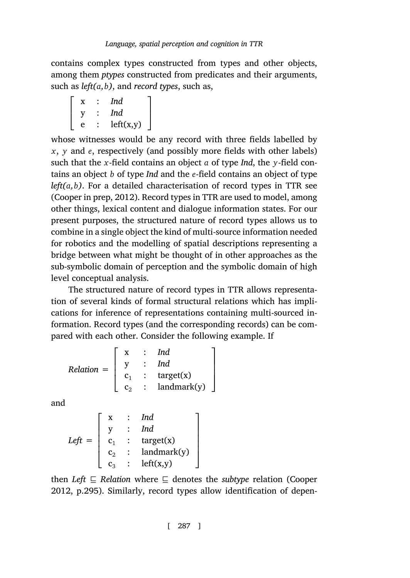contains complex types constructed from types and other objects, among them *ptypes* constructed from predicates and their arguments, such as *left(a,b)*, and *record types*, such as,

|   | Ind       |  |
|---|-----------|--|
|   | Ind       |  |
| e | left(x,y) |  |

whose witnesses would be any record with three fields labelled by *x*, *y* and *e*, respectively (and possibly more fields with other labels) such that the *x*-field contains an object *a* of type *Ind*, the *y*-field contains an object *b* of type *Ind* and the *e*-field contains an object of type  $left(a, b$ ). For a detailed characterisation of record types in TTR see (Cooper in prep, 2012). Record types in TTR are used to model, among other things, lexical content and dialogue information states. For our present purposes, the structured nature of record types allows us to combine in a single object the kind of multi-source information needed for robotics and the modelling of spatial descriptions representing a bridge between what might be thought of in other approaches as the sub-symbolic domain of perception and the symbolic domain of high level conceptual analysis.

The structured nature of record types in TTR allows representation of several kinds of formal structural relations which has implications for inference of representations containing multi-sourced information. Record types (and the corresponding records) can be compared with each other. Consider the following example. If

$$
Relation = \left[ \begin{array}{ccc} x & \vdots & Ind \\ y & \vdots & Ind \\ c_1 & \vdots & target(x) \\ c_2 & \vdots & landmark(y) \end{array} \right]
$$

[and](#page-23-5)

*Left* =  $\Gamma$  $\begin{array}{c} \begin{array}{c} \begin{array}{c} \begin{array}{c} \end{array} \\ \end{array} \end{array} \end{array}$ x : *Ind* y : *Ind*  $c_1$  : target(x)  $c_2$  : landmark(y)  $c_3$  : left(x,y)

then *Left ⊑ Relation* where *⊑* denotes the *subtype* relation (Cooper 2012, p.295). Similarly, record types allow identification of depen-

T.

 $\begin{array}{c} \begin{array}{c} \begin{array}{c} \end{array} \end{array} \end{array}$ 

[ 287 ]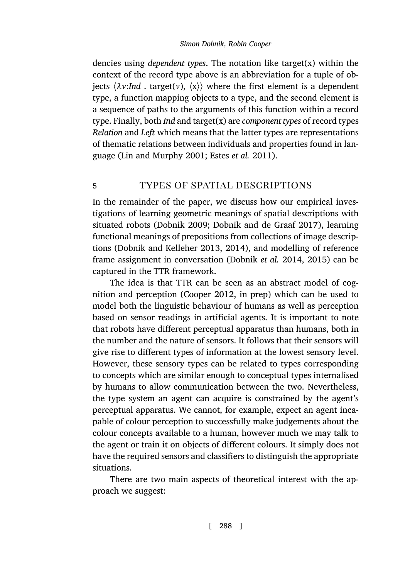<span id="page-15-0"></span>dencies using *[dependent types](#page-27-10)*. [The notation lik](#page-25-7)e target(x) within the context of the record type above is an abbreviation for a tuple of objects  $\langle \lambda v: Ind$ . target(*v*),  $\langle x \rangle$  where the first element is a dependent type, a function mapping objects to a type, and the second element is a sequence of paths to the arguments of this function within a record type. Finally, both *Ind* and target(x) are *component types* of record types *Relation* and *Left* [which means](#page-24-3)t[hat the latter types are repre](#page-24-8)sentations of thematic relations between individuals and properties found in language [\(Lin and Murphy](#page-25-0) 2001; [Est](#page-25-0)es *[et a](#page-25-1)l.* [2011\).](#page-25-8)

# 5 TYPES OF SPATIAL DESCRIPTIONS

In the remainder of th[e paper, we d](#page-23-5)i[scuss ho](#page-23-7)w our empirical investigations of learning geometric meanings of spatial descriptions with situated robots (Dobnik 2009; Dobnik and de Graaf 2017), learning functional meanings of prepositions from collections of image descriptions (Dobnik and Kelleher 2013, 2014), and modelling of reference frame assignment in conversation (Dobnik *et al.* 2014, 2015) can be captured in the TTR framework.

The idea is that TTR can be seen as an abstract model of cognition and perception (Cooper 2012, in prep) which can be used to model both the linguistic behaviour of humans as well as perception based on sensor readings in artificial agents. It is important to note that robots have different perceptual apparatus than humans, both in the number and the nature of sensors. It follows that their sensors will give rise to different types of information at the lowest sensory level. However, these sensory types can be related to types corresponding to concepts which are similar enough to conceptual types internalised by humans to allow communication between the two. Nevertheless, the type system an agent can acquire is constrained by the agent's perceptual apparatus. We cannot, for example, expect an agent incapable of colour perception to successfully make judgements about the colour concepts available to a human, however much we may talk to the agent or train it on objects of different colours. It simply does not have the required sensors and classifiers to distinguish the appropriate situations.

There are two main aspects of theoretical interest with the approach we suggest: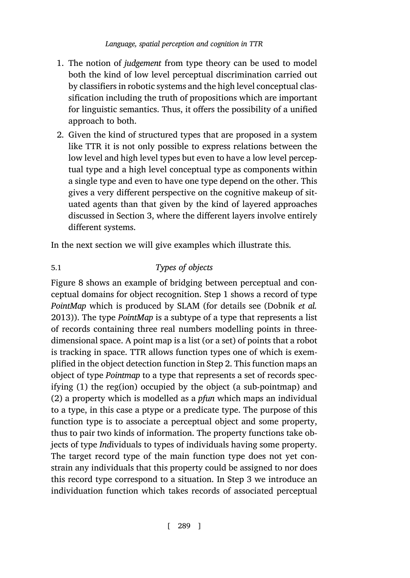- 1. The notion of *judgement* from type theory can be used to model both the kind of low level perceptual discrimination carried out by classifiers in robotic systems and the high level conceptual classification including the truth of propositions which are important for linguistic semantics. Thus, it offers the possibility of a unified approach to both.
- 2. Given the kind of structured types that are proposed in a system like TTR it is not only possible to express relations between the low level and high level types but even to have a low level perceptual type and a high level conceptual type as components within a single type and even to have one type depend on the other. This gi[ve](#page-17-0)s a very different perspective on the cognitive makeup of situated agents than that given by the kind of layered approaches discussed in Section 3, where the different layers in[volve entirely](#page-24-9) [d](#page-24-9)ifferent systems.

In the next section we will give examples which illustrate this.

# 5.1 *Types of objects*

Figure 8 shows an example of bridging between perceptual and conceptual domains for object recognition. Step 1 shows a record of type *PointMap* which is produced by SLAM (for details see (Dobnik *et al.* 2013)). The type *PointMap* is a subtype of a type that represents a list of records containing three real numbers modelling points in threedimensional space. A point map is a list (or a set) of points that a robot is tracking in space. TTR allows function types one of which is exemplified in the object detection function in Step 2. This function maps an object of type *Pointmap* to a type that represents a set of records specifying (1) the reg(ion) occupied by the object (a sub-pointmap) and (2) a property which is modelled as a *pfun* which maps an individual to a type, in this case a ptype or a predicate type. The purpose of this function type is to associate a perceptual object and some property, thus to pair two kinds of information. The property functions take objects of type *Ind*ividuals to types of individuals having some property. The target record type of the main function type does not yet constrain any individuals that this property could be assigned to nor does this record type correspond to a situation. In Step 3 we introduce an individuation function which takes records of associated perceptual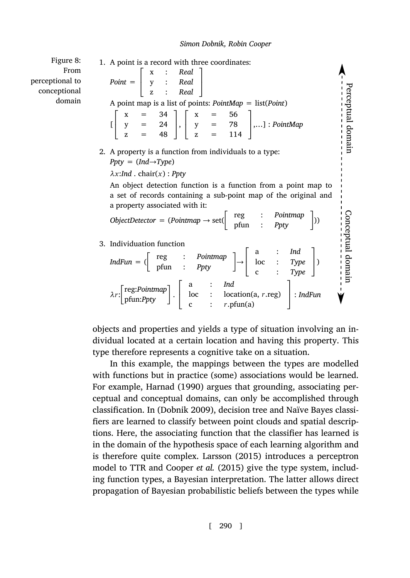Perceptual domain

Perceptual domain<br>-------------------

Conceptual domain

Conceptual domain<br>--------------

1. A point is a record with three coordinates:

<span id="page-17-0"></span>Figure 8: From perceptional to conceptional domain

*Point* =  $\Gamma$  $\mathbf{I}$ x : *Real* y : *Real* z : *Real* I.  $\mathbf{I}$ A point map is a list of points: *PointMap* = list(*Point*)  $[$  $\Gamma$  $x = 34$  $y = 24$  $z = 48$ T.  $\vert \cdot \vert$  $\Gamma$  $x = 56$  $= 78$ z = 114 T. ,…] : *PointMap* 2. A property is a function from individuals to a type: *Ppty* = (*Ind→Type*) *λx*:*Ind* . chair(*x*) : *Ppty* An object detection function is a function from a point map to a set of records containing a sub-point map of the original and a property associated with it:  $ObjectDetector = (Pointmap \rightarrow set(\begin{bmatrix} \text{reg} & \text{:} & Pointmap \\ \text{pfun} & \text{:} & \text{Ppty} \end{bmatrix})$ )) 3. Individuation function  $IndFun = \begin{pmatrix} \text{reg} & \text{:} & \text{Pointmap} \\ \text{pfun} & \text{:} & \text{Ppty} \end{pmatrix} \rightarrow$  $\Gamma$  $\mathbf{I}$ a : *Ind* loc : *Type* c : *Type* T.  $\vert$ *λr*: reg:*Po[intmap](#page-26-6)* pfun:*Ppty* .  $\Gamma$  $\mathbf{I}$ a : *Ind* [loc](#page-26-6) : location(a, *r*.reg) I. : *IndFun*

objects and properties and yields a type of situation involving an individual located at a certain location and having this property. This type therefore represents a cognitive take on a situation.

c :  $r.\text{pfun}(a)$ 

In this example, the m[appings](#page-26-12) b[etwee](#page-26-12)n the types are modelled with functions but [in practice \(some\) a](#page-24-6)ssociations would be learned. For example, Harnad (1990) argues that grounding, associating perceptual and conceptual domains, can only be accomplished through classification. In (Dobnik 2009), decision tree and Naïve Bayes classifiers are learned to classify between point clouds and spatial descriptions. Here, the associating function that the classifier has learned is in the domain of the hypothesis space of each learning algorithm and is therefore quite complex. Larsson (2015) introduces a perceptron model to TTR and Cooper *et al.* (2015) give the type system, including function types, a Bayesian interpretation. The latter allows direct propagation of Bayesian probabilistic beliefs between the types while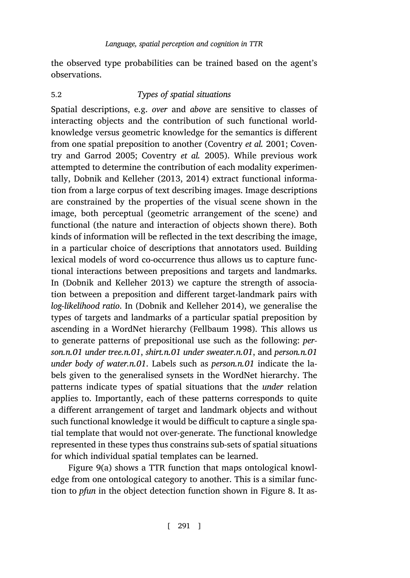[the observed type pro](#page-24-4)[babilities can be traine](#page-24-5)d based on the agent's obser[vations.](#page-25-0)

# 5.2 *Types of spatial situations*

Spatial descriptions, e.g. *over* and *above* are sensitive to classes of interacting objects and the contribution of such functional worldknowledge versus geometric knowledge for the semantics is different from one spatial preposition to another (Coventry *et al.* 2001; Coventry and Garrod 2005; Coventry *et al.* 2005). While previous work attempted to determine the contribution of each modality experimentally, Dobnik and Kelleher (2013, 2014) extract functional informatio[n from a large corpus of text](#page-25-0) describing images. Image descriptions are constrained by the properties of the visual scene shown in the image, both perceptu[al \(geometric arrangement](#page-25-1) of the scene) and functional (the nature and interaction of objects shown there). Both kinds of information will be reflected [in the text desc](#page-25-9)ribing the image, in a particular choice of descriptions that annotators used. Building lexical models of word co-occurrence thus allows us to capture functional interactions between prepositions and targets and landmarks. In (Dobnik and Kelleher 2013) we capture the strength of association between a preposition and different target-landmark pairs with *log-likelihood ratio*. In (Dobnik and Kelleher 2014), we generalise the types of targets and landmarks of a particular spatial preposition by ascending in a WordNet hierarchy (Fellbaum 1998). This allows us to generate patterns of prepositional use such as the following: *person.n.01 under tree.n.01*, *shirt.n.01 under sweater.n.01*, and *person.n.01 under body of water.n.01*. Labels such as *person.n.01* indicate the labels given [to](#page-19-0) the generalised synsets in the WordNet hierarchy. The patterns indicate types of spatial situations that the *under* relation applies to. Importantly, each of these patterns corresponds [to](#page-17-0) quite a different arrangement of target and landmark objects and without such functional knowledge it would be difficult to capture a single spatial template that would not over-generate. The functional knowledge represented in these types thus constrains sub-sets of spatial situations for which individual spatial templates can be learned.

Figure 9(a) shows a TTR function that maps ontological knowledge from one ontological category to another. This is a similar function to *pfun* in the object detection function shown in Figure 8. It as-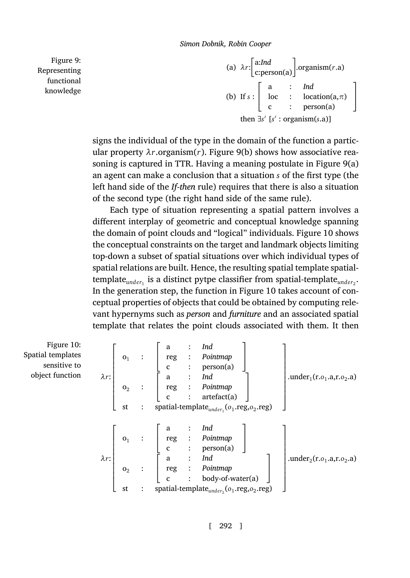(a) *λr*: a:*Ind* c:person(a) .organism(*r*.a[\)](#page-19-0) (b) If *s* :  $\Gamma$  $\mathbf{I}$ a : *Ind* loc : location(a,*π*) c : person(a) T.  $\mathbf{I}$ then *∃s ′* [*s ′* : organism(*s*.a)]

signs the individual of the type in the domain of the functio[n a](#page-19-1) particular property  $\lambda r$ .organism(*r*). Figure 9(b) shows how associative reasoning is captured in TTR. Having a meaning postulate in Figure 9(a) an agent can make a conclusion that a situation *s* of the first type (the left hand side of the *If-then* rule) requires that there is also a situation of the second type (the right hand side of th[e sa](#page-19-1)me rule).

<span id="page-19-1"></span>Each type of situation representing a spatial pattern involves a different interplay of geometric and conceptual knowledge spanning the domain of point clouds and "logical" individuals. Figure 10 shows the conceptual constraints on the target and landmark objects limiting top-down a subset of spatial situations over which individual types of spatial relations are built. Hence, the resulting spatial template spatial- $\mathsf{template}_{\mathit{under}_1}$  is a distinct pytpe classifier from spatial-template $_{\mathit{under}_2}.$ In the generation step, the function in Figure 10 takes account of conceptual properties of objects that could be obtained by computing relevant hypernyms such as *person* and *furniture* and an associated spatial template that relates the point clouds associated with them. It then

Figure 10: Spatial templates sensitive to object function *λr*:

 $\Gamma$   $\mathsf{o}_1$  :  $\Gamma$ a : *Ind* reg : *Pointmap* c : person(a) T.  $\mathbf{I}$  $\mathbf{o}_2$  : Ē  $\mathbf{I}$ a : *Ind* reg : *Pointmap* c : artefact(a) ٦.  $\mathbf{I}$ st : spatial-template<sub>under<sub>1</sub></sub> ( $o_1$ .reg, $o_2$ .reg) T. .under<sub>1</sub>(r.*o*<sub>1</sub>.a,r.*o*<sub>2</sub>.a) *λr*:  $\Gamma$   $o_1$  :  $\Gamma$  $\mathbf{I}$ a : *Ind* reg : *Pointmap* c : person(a) I.  $\mathbf{I}$  $\mathbf{o}_2$  : Ē  $\mathbf{I}$ a : *Ind* reg : *Pointmap* c : body-of-water(a) T.  $\mathbf{I}$ st : spatial-template<sub>under<sub>2</sub></sub>( $o_1$ .reg, $o_2$ .reg) T. .under<sub>2</sub>(r.*o*<sub>1</sub>.a,r.*o*<sub>2</sub>.a)

<span id="page-19-0"></span>Figure 9: Representing functional knowledge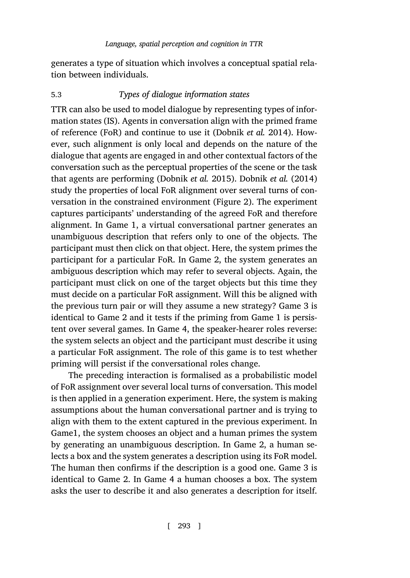generates a type of situation which involves a conceptual spatial relation between individuals.

# 5.3 *Types of dialogue information states*

TTR can also be used to model dialogue by represe[nt](#page-4-0)ing types of information states (IS). Agents in conversation align with the primed frame of reference (FoR) and continue to use it (Dobnik *et al.* 2014). However, such alignment is only local and depends on the nature of the dialogue that agents are engaged in and other contextual factors of the conversation such as the perceptual properties of the scene or the task that agents are performing (Dobnik *et al.* 2015). Dobnik *et al.* (2014) study the properties of local FoR alignment over several turns of conversation in the constrained environment (Figure 2). The experiment captures participants' understanding of the agreed FoR and therefore alignment. In Game 1, a virtual conversational partner generates an unambiguous description that refers only to one of the objects. The participant must then click on that object. Here, the system primes the participant for a particular FoR. In Game 2, the system generates an ambiguous description which may refer to several objects. Again, the participant must click on one of the target objects but this time they must decide on a particular FoR assignment. Will this be aligned with the previous turn pair or will they assume a new strategy? Game 3 is identical to Game 2 and it tests if the priming from Game 1 is persistent over several games. In Game 4, the speaker-hearer roles reverse: the system selects an object and the participant must describe it using a particular FoR assignment. The role of this game is to test whether priming will persist if the conversational roles change.

The preceding interaction is formalised as a probabilistic model of FoR assignment over several local turns of conversation. This model is then applied in a generation experiment. Here, the system is making assumptions about the human conversational partner and is trying to align with them to the extent captured in the previous experiment. In Game1, the system chooses an object and a human primes the system by generating an unambiguous description. In Game 2, a human selects a box and the system generates a description using its FoR model. The human then confirms if the description is a good one. Game 3 is identical to Game 2. In Game 4 a human chooses a box. The system asks the user to describe it and also generates a description for itself.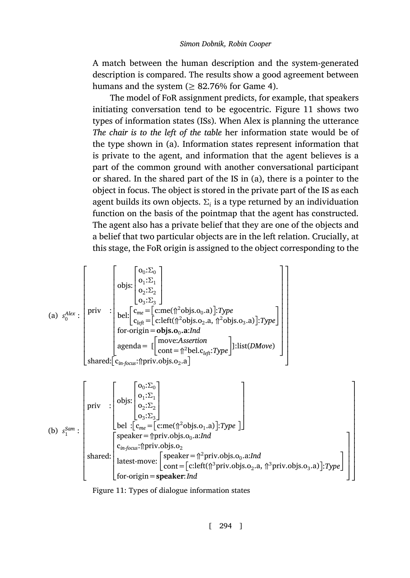A match between the human description and the system-generated description is compared. The results show a good agreement between humans and the system ( $\geq$  82.76% for Game 4).

The model of FoR assignment predicts, for example, that speakers initiating conversation tend to be egocentric. Figure 11 shows two types of information states (ISs). When Alex is planning the utterance *The chair is to the left of the table* her information state would be of the type shown in (a). Information states represent information that is private to the agent, and information that the agent believes is a part of the common ground with another conversational participant or shared. In the shared part of the IS in (a), there is a pointer to the object in focus. The object is stored in the private part of the IS as each agent builds its own objects.  $\Sigma_i$  is a type returned by an individuation function on the basis of the pointmap that the agent has constructed. The agent also has a private belief that they are one of the objects and a belief that two particular objects are in the left relation. Crucially, at this stage, the FoR origin is assigned to the object corresponding to the

(a) 
$$
s_0^{Alex}
$$
:  
\n
$$
\begin{bmatrix}\n\text{opis: } \begin{bmatrix}\n o_0: \Sigma_0 \\
 o_1: \Sigma_1 \\
 o_2: \Sigma_2 \\
 o_3: \Sigma_3\n\end{bmatrix}\n\end{bmatrix}
$$
\n(a)  $s_0^{Alex}$ :  
\n
$$
\text{priv: } \begin{bmatrix}\n\text{priv: } \begin{bmatrix}\n o_m = [\text{c:me}(\hat{\pi}^2 \text{objs}.o_0.a)].\n\text{Type: } \begin{bmatrix}\n \text{Type} \\
 \text{C}_{left} = [\text{c:left}(\hat{\pi}^2 \text{objs}.o_2.a, \hat{\pi}^2 \text{objs}.o_3.a)].\n\text{Type: } \begin{bmatrix}\n \text{for-origin = objs. } o_0.a. \text{Ind}\n \text{appenda = } [\begin{bmatrix}\n \text{move:} \text{A} \text{ssertion} \\
 \text{cont} = \hat{\pi}^2 \text{bel. } \text{C}_{left}: \text{Type}\n\end{bmatrix}]\n\end{bmatrix}\n\end{bmatrix}
$$
\n
$$
\text{shared: } \begin{bmatrix}\n o_n: \Sigma_0 \\
 o_n: \Sigma_1 \\
 o_n: \Sigma_2\n\end{bmatrix}
$$
\n
$$
\text{priv: } \begin{bmatrix}\n o_0: \Sigma_0 \\
 o_1: \Sigma_1 \\
 o_2: \Sigma_2\n\end{bmatrix}
$$

<span id="page-21-0"></span>(b) 
$$
s_1^{Sam}
$$
:  
\n
$$
\begin{bmatrix}\n\text{priv} : \begin{bmatrix}\n\text{objs:} \begin{bmatrix}\n\text{o}_2:\Sigma_2 \end{bmatrix} \\
\text{bel} : [\mathbf{c}_{me} = [\text{c:me}(\hat{\mathbf{n}}^2 \text{objs. o}_1.a)] : \text{Type} \end{bmatrix}\n\end{bmatrix}
$$
\nspace =  $[\text{priv.objs. o}_0.a:\text{Ind}$   
\nspace:  $\begin{bmatrix}\n\text{speaker} = \hat{\mathbf{n}} \text{priv.objs. o}_2 \\
\text{shared:} \begin{bmatrix}\n\text{speaker} = \hat{\mathbf{n}}^2 \text{priv.objs. o}_0.a:\text{Ind} \\
\text{latest-move:} \begin{bmatrix}\n\text{speaker} = \hat{\mathbf{n}}^2 \text{priv.objs. o}_0.a:\text{Ind} \\
\text{cont} = [\text{c:left}(\hat{\mathbf{n}}^3 \text{priv.objs. o}_2.a, \hat{\mathbf{n}}^3 \text{priv.objs. o}_3.a)] : \text{Type}\n\end{bmatrix}\n\end{bmatrix}$ 

Figure 11: Types of dialogue information states

I.  $\mathbf{I}$  $\mathbf{I}$  $\mathbf{I}$  $\mathbf{I}$  $\mathbf{I}$  $\mathbf{I}$  $\mathbf{I}$  $\mathbf{I}$  $\mathbf{I}$  $\mathbf{I}$  $\mathbf{I}$  $\mathbf{I}$  $\mathbf{I}$  $\mathbf{I}$  $\mathbf{I}$  $\mathbf{I}$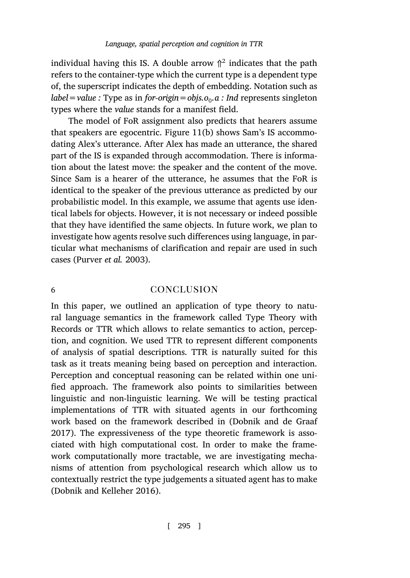individual having this IS. A double arrow  $\uparrow^2$  indicates that the path refers to the container-type which the current type is a dependent type of, the superscript indicates the depth of embedding. Notation such as *label=value :* Type as in *for-origin=objs.o*<sup>0</sup> *.a : Ind* represents singleton types where the *value* stands for a manifest field.

<span id="page-22-0"></span>The model of FoR assignment also predicts that hearers assume that speakers are egocentric. Figure 11(b) shows Sam's IS accommodating Alex's utterance. After Alex has made an utterance, the shared part of the IS is expanded through accommodation. There is information a[bout the latest mov](#page-27-11)e: the speaker and the content of the move. Since Sam is a hearer of the utterance, he assumes that the FoR is identical to the speaker of the previous utterance as predicted by our probabilistic model. In this example, we assume that agents use identical labels for objects. However, it is not necessary or indeed possible that they have identified the same objects. In future work, we plan to investigate how agents resolve such differences using language, in particular what mechanisms of clarification and repair are used in such cases (Purver *et al.* 2003).

# 6 conclusion

In this paper, we outlined an application of type theory to natural language semantics in the framework called Type Theory with Records or TTR which allows to relate seman[tics to action, percep](#page-24-8)[tion,](#page-24-8) and cognition. We used TTR to represent different components of analysis of spatial descriptions. TTR is naturally suited for this task as it treats meaning being based on perception and interaction. Perception and conceptual reasoning can be related within one unified approach. The framework also points to similarities between l[inguistic and non-linguisti](#page-25-4)c learning. We will be testing practical implementations of TTR with situated agents in our forthcoming work based on the framework described in (Dobnik and de Graaf 2017). The expressiveness of the type theoretic framework is associated with high computational cost. In order to make the framework computationally more tractable, we are investigating mechanisms of attention from psychological research which allow us to contextually restrict the type judgements a situated agent has to make (Dobnik and Kelleher 2016).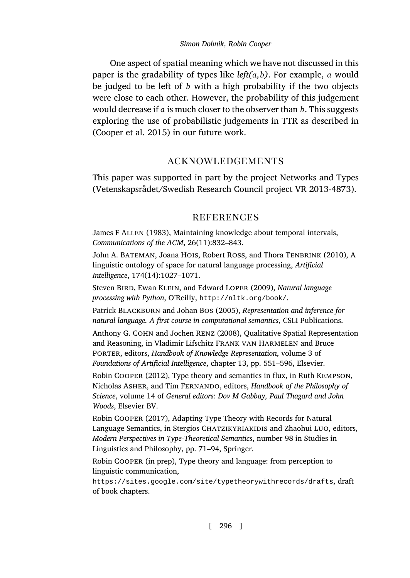One aspect of spatial meaning which we have not discussed in this paper is the gradability of types like *left(a,b)*. For example, *a* would be judged to be left of *b* with a high probability if the two objects were close to each other. However, the probability of this judgement would decrease if *a* is much closer to the observer than *b*. This suggests exploring the use of probabilistic judgements in TTR as described in (Cooper et al. 2015) in our future work.

# acknowledgements

<span id="page-23-4"></span><span id="page-23-2"></span><span id="page-23-0"></span>This paper was supported in part by the project Networks and Types (Vetenskapsrådet/Swedish Research Council project VR 2013-4873).

# **REFERENCES**

<span id="page-23-3"></span><span id="page-23-1"></span>James F Allen (1983), Maintaining knowledge about temporal intervals, *Communications of the ACM*, 26(11):832–843.

John A. Bateman, Joana Hois, Robert Ross, and Thora Tenbrink (2010), A linguistic ontology of space for natural language processing, *Artificial Intelligence*, 174(14):1027–1071.

<span id="page-23-5"></span>Steven Bird, Ewan Klein, and Edward Loper (2009), *Natural language processing with Python*, O'Reilly, http://nltk.org/book/.

<span id="page-23-6"></span>Patrick Blackburn and Johan Bos (2005), *Representation and inference for natural language. A first course in computational semantics*, CSLI Publications.

Anthony G. Cohn and Jochen Renz (2008), Qualitative Spatial Representation and Reasoning, in Vladimir Lifschitz Frank van Harmelen and Bruce Porter, editors, *Handbook of Knowledge Representation*, volume 3 of *Foundations of Artificial Intelligence*, chapter 13, pp. 551–596, Elsevier.

<span id="page-23-7"></span>Robin Cooper (2012), Type theory and semantics in flux, in Ruth Kempson, [Nicholas Asher, and Tim Fernando, editors,](https://sites.google.com/site/typetheorywithrecords/drafts) *Handbook of the Philosophy of Science*, volume 14 of *General editors: Dov M Gabbay, Paul Thagard and John Woods*, Elsevier BV.

Robin Cooper (2017), Adapting Type Theory with Records for Natural Language Semantics, in Stergios CHATZIKYRIAKIDIS and Zhaohui LUO, editors, *Modern Perspectives in Type-Theoretical Semantics*, number 98 in Studies in Linguistics and Philosophy, pp. 71–94, Springer.

Robin Cooper (in prep), Type theory and language: from perception to linguistic communication,

https://sites.google.com/site/typetheorywithrecords/drafts, draft of book chapters.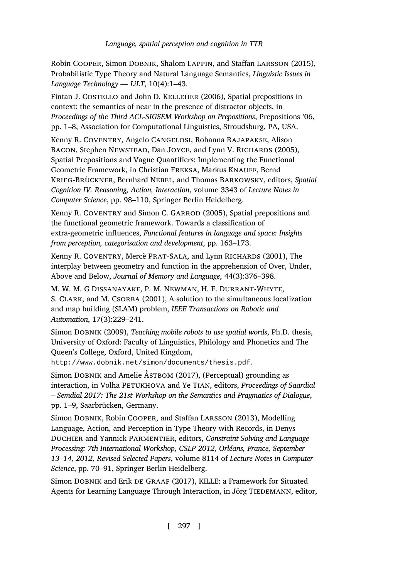<span id="page-24-6"></span><span id="page-24-5"></span><span id="page-24-2"></span>Robin Cooper, Simon Dobnik, Shalom Lappin, and Staffan Larsson (2015), Probabilistic Type Theory and Natural Language Semantics, *Linguistic Issues in Language Technology — LiLT*, 10(4):1–43.

<span id="page-24-4"></span>Fintan J. COSTELLO and John D. KELLEHER (2006), Spatial prepositions in context: the semantics of near in the presence of distractor objects, in *Proceedings of the Third ACL-SIGSEM Workshop on Prepositions*, Prepositions '06, pp. 1–8, Association for Computational Linguistics, Stroudsburg, PA, USA.

<span id="page-24-0"></span>Kenny R. Coventry, Angelo Cangelosi, Rohanna Rajapakse, Alison BACON, Stephen NEWSTEAD, Dan JOYCE, and Lynn V. RICHARDS (2005), Spatial Prepositions and Vague Quantifiers: Implementing the Functional Geometric Framework, in Christian FREKSA, Markus KNAUFF, Bernd Krieg-Brückner, Bernhard Nebel, and Thomas Barkowsky, editors, *Spatial Cognition IV. Reasoning, Action, Interaction*, volume 3343 of *Lecture Notes in Computer Science*, pp. 98–110, Springer Berlin Heidelberg.

<span id="page-24-7"></span><span id="page-24-3"></span>Kenny R. COVENTRY and Simon C. GARROD (2005), Spatial prepositions and the functional geometric framework. Towards a classification of extra-geometric influences, *Functional features in language and space: Insights from perception, categorisation and development*, pp. 163–173.

Kenny R. COVENTRY, Mercè PRAT-SALA, and Lynn RICHARDS (2001), The [interplay between geometry and function in the apprehensio](http://www.dobnik.net/simon/documents/thesis.pdf)n of Over, Under, Above and Below, *Journal of Memory and Language*, 44(3):376–398.

<span id="page-24-1"></span>M. W. M. G Dissanayake, P. M. Newman, H. F. Durrant-Whyte, S. CLARK, and M. CSORBA (2001), A solution to the simultaneous localization and map building (SLAM) problem, *IEEE Transactions on Robotic and Automation*, 17(3):229–241.

<span id="page-24-9"></span>Simon Dobnik (2009), *Teaching mobile robots to use spatial words*, Ph.D. thesis, University of Oxford: Faculty of Linguistics, Philology and Phonetics and The Queen's College, Oxford, United Kingdom,

http://www.dobnik.net/simon/documents/thesis.pdf.

<span id="page-24-8"></span>Simon DOBNIK and Amelie ÅSTBOM (2017), (Perceptual) grounding as interaction, in Volha Petukhova and Ye Tian, editors, *Proceedings of Saardial – Semdial 2017: The 21st Workshop on the Semantics and Pragmatics of Dialogue*, pp. 1–9, Saarbrücken, Germany.

Simon Dobnik, Robin Cooper, and Staffan Larsson (2013), Modelling Language, Action, and Perception in Type Theory with Records, in Denys Duchier and Yannick Parmentier, editors, *Constraint Solving and Language Processing: 7th International Workshop, CSLP 2012, Orléans, France, September 13–14, 2012, Revised Selected Papers*, volume 8114 of *Lecture Notes in Computer Science*, pp. 70–91, Springer Berlin Heidelberg.

Simon DOBNIK and Erik DE GRAAF (2017), KILLE: a Framework for Situated Agents for Learning Language Through Interaction, in Jörg TIEDEMANN, editor,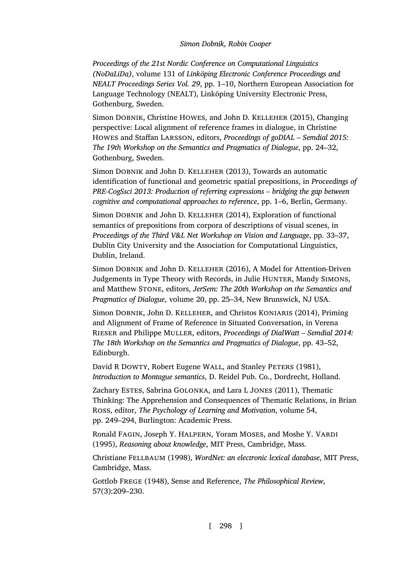*Proceedings of the 21st Nordic Conference on Computational Linguistics (NoDaLiDa)*, volume 131 of *Linköping Electronic Conference Proceedings and NEALT Proceedings Series Vol. 29*, pp. 1–10, Northern European Association for Language Technology (NEALT), Linköping University Electronic Press, Gothenburg, Sweden.

<span id="page-25-2"></span>Simon Dobnik, Christine Howes, and John D. Kelleher (2015), Changing perspective: Local alignment of reference frames in dialogue, in Christine Howes and Staffan Larsson, editors, *Proceedings of goDIAL – Semdial 2015: The 19th Workshop on the Semantics and Pragmatics of Dialogue*, pp. 24–32, Gothenburg, Sweden.

<span id="page-25-0"></span>Simon DOBNIK and John D. KELLEHER (2013), Towards an automatic identification of functional and geometric spatial prepositions, in *Proceedings of PRE-CogSsci 2013: Production of referring expressions – bridging the gap between cognitive and computational approaches to reference*, pp. 1–6, Berlin, Germany.

<span id="page-25-1"></span>Simon DOBNIK and John D. KELLEHER (2014), Exploration of functional semantics of prepositions from corpora of descriptions of visual scenes, in *Proceedings of the Third V&L Net Workshop on Vision and Language*, pp. 33–37, Dublin City University and the Association for Computational Linguistics, Dublin, Ireland.

<span id="page-25-4"></span>Simon Dobnik and John D. Kelleher (2016), A Model for Attention-Driven Judgements in Type Theory with Records, in Julie HUNTER, Mandy SIMONS, and Matthew Stone, editors, *JerSem: The 20th Workshop on the Semantics and Pragmatics of Dialogue*, volume 20, pp. 25–34, New Brunswick, NJ USA.

<span id="page-25-8"></span>Simon DOBNIK, John D. KELLEHER, and Christos KONIARIS (2014), Priming and Alignment of Frame of Reference in Situated Conversation, in Verena Rieser and Philippe Muller, editors, *Proceedings of DialWatt – Semdial 2014: The 18th Workshop on the Semantics and Pragmatics of Dialogue*, pp. 43–52, Edinburgh.

<span id="page-25-5"></span>David R DOWTY, Robert Eugene WALL, and Stanley PETERS (1981), *Introduction to Montague semantics*, D. Reidel Pub. Co., Dordrecht, Holland.

<span id="page-25-7"></span>Zachary Estes, Sabrina GOLONKA, and Lara L JONES (2011), Thematic Thinking: The Apprehension and Consequences of Thematic Relations, in Brian Ross, editor, *The Psychology of Learning and Motivation*, volume 54, pp. 249–294, Burlington: Academic Press.

<span id="page-25-6"></span>Ronald FAGIN, Joseph Y. HALPERN, Yoram MOSES, and Moshe Y. VARDI (1995), *Reasoning about knowledge*, MIT Press, Cambridge, Mass.

<span id="page-25-9"></span>Christiane Fellbaum (1998), *WordNet: an electronic lexical database*, MIT Press, Cambridge, Mass.

<span id="page-25-3"></span>Gottlob Frege (1948), Sense and Reference, *The Philosophical Review*, 57(3):209–230.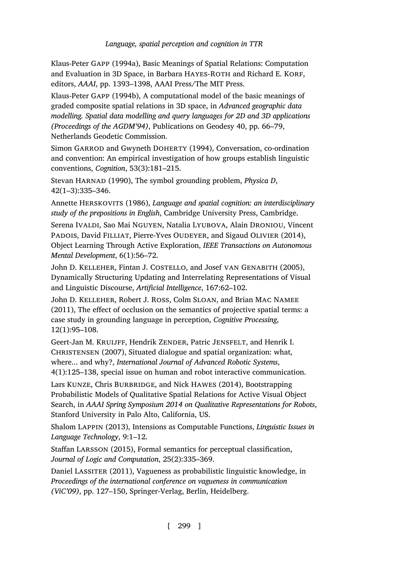<span id="page-26-2"></span>Klaus-Peter Gapp (1994a), Basic Meanings of Spatial Relations: Computation and Evaluation in 3D Space, in Barbara HAYES-ROTH and Richard E. KORF, editors, *AAAI*, pp. 1393–1398, AAAI Press/The MIT Press.

<span id="page-26-3"></span>Klaus-Peter Gapp (1994b), A computational model of the basic meanings of graded composite spatial relations in 3D space, in *Advanced geographic data modelling. Spatial data modelling and query languages for 2D and 3D applications (Proceedings of the AGDM'94)*, Publications on Geodesy 40, pp. 66–79, Netherlands Geodetic Commission.

<span id="page-26-5"></span>Simon GARROD and Gwyneth DOHERTY (1994), Conversation, co-ordination and convention: An empirical investigation of how groups establish linguistic conventions, *Cognition*, 53(3):181–215.

<span id="page-26-6"></span>Stevan Harnad (1990), The symbol grounding problem, *Physica D*, 42(1–3):335–346.

<span id="page-26-7"></span>Annette Herskovits (1986), *Language and spatial cognition: an interdisciplinary study of the prepositions in English*, Cambridge University Press, Cambridge.

<span id="page-26-10"></span>Serena Ivaldi, Sao Mai Nguyen, Natalia Lyubova, Alain Droniou, Vincent PADOIS, David FILLIAT, Pierre-Yves OUDEYER, and Sigaud OLIVIER (2014), Object Learning Through Active Exploration, *IEEE Transactions on Autonomous Mental Development*, 6(1):56–72.

<span id="page-26-1"></span>John D. KELLEHER, Fintan J. COSTELLO, and Josef VAN GENABITH (2005), Dynamically Structuring Updating and Interrelating Representations of Visual and Linguistic Discourse, *Artificial Intelligence*, 167:62–102.

<span id="page-26-4"></span>John D. Kelleher, Robert J. Ross, Colm Sloan, and Brian Mac Namee (2011), The effect of occlusion on the semantics of projective spatial terms: a case study in grounding language in perception, *Cognitive Processing*, 12(1):95–108.

<span id="page-26-11"></span>Geert-Jan M. KRUIJFF, Hendrik ZENDER, Patric JENSFELT, and Henrik I. CHRISTENSEN (2007), Situated dialogue and spatial organization: what, where... and why?, *International Journal of Advanced Robotic Systems*, 4(1):125–138, special issue on human and robot interactive communication.

<span id="page-26-0"></span>Lars KUNZE, Chris BURBRIDGE, and Nick HAWES (2014), Bootstrapping Probabilistic Models of Qualitative Spatial Relations for Active Visual Object Search, in *AAAI Spring Symposium 2014 on Qualitative Representations for Robots*, Stanford University in Palo Alto, California, US.

<span id="page-26-9"></span>Shalom Lappin (2013), Intensions as Computable Functions, *Linguistic Issues in Language Technology*, 9:1–12.

<span id="page-26-12"></span>Staffan Larsson (2015), Formal semantics for perceptual classification, *Journal of Logic and Computation*, 25(2):335–369.

<span id="page-26-8"></span>Daniel Lassiter (2011), Vagueness as probabilistic linguistic knowledge, in *Proceedings of the international conference on vagueness in communication (ViC'09)*, pp. 127–150, Springer-Verlag, Berlin, Heidelberg.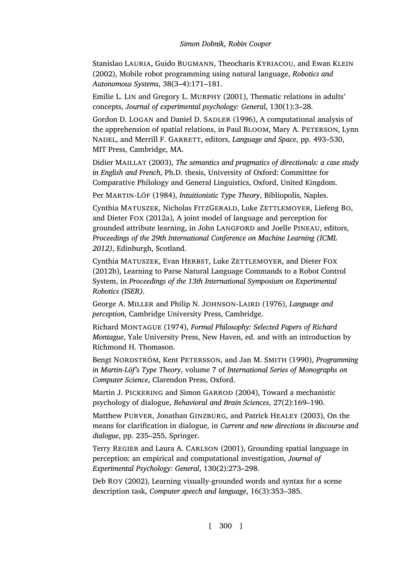<span id="page-27-0"></span>Stanislao Lauria, Guido Bugmann, Theocharis Kyriacou, and Ewan Klein (2002), Mobile robot programming using natural language, *Robotics and Autonomous Systems*, 38(3–4):171–181.

<span id="page-27-10"></span>Emilie L. Lin and Gregory L. Murphy (2001), Thematic relations in adults' concepts, *Journal of experimental psychology: General*, 130(1):3–28.

<span id="page-27-2"></span>Gordon D. LOGAN and Daniel D. SADLER (1996), A computational analysis of the apprehension of spatial relations, in Paul Bloom, Mary A. Peterson, Lynn Nadel, and Merrill F. Garrett, editors, *Language and Space*, pp. 493–530, MIT Press, Cambridge, MA.

Didier Maillat (2003), *The semantics and pragmatics of directionals: a case study in English and French*, Ph.D. thesis, University of Oxford: Committee for Comparative Philology and General Linguistics, Oxford, United Kingdom.

<span id="page-27-8"></span>Per MARTIN-LÖF (1984), *Intuitionistic Type Theory*, Bibliopolis, Naples.

<span id="page-27-4"></span>Cynthia MATUSZEK, Nicholas FITZGERALD, Luke ZETTLEMOYER, Liefeng BO, and Dieter Fox (2012a), A joint model of language and perception for grounded attribute learning, in John LANGFORD and Joelle PINEAU, editors, *Proceedings of the 29th International Conference on Machine Learning (ICML 2012)*, Edinburgh, Scotland.

<span id="page-27-5"></span>Cynthia MATUSZEK, Evan HERBST, Luke ZETTLEMOYER, and Dieter FOX (2012b), Learning to Parse Natural Language Commands to a Robot Control System, in *Proceedings of the 13th International Symposium on Experimental Robotics (ISER)*.

George A. MILLER and Philip N. JOHNSON-LAIRD (1976), *Language and perception*, Cambridge University Press, Cambridge.

<span id="page-27-6"></span>Richard Montague (1974), *Formal Philosophy: Selected Papers of Richard Montague*, Yale University Press, New Haven, ed. and with an introduction by Richmond H. Thomason.

<span id="page-27-9"></span>Bengt Nordström, Kent Petersson, and Jan M. Smith (1990), *Programming in Martin-Löf's Type Theory*, volume 7 of *International Series of Monographs on Computer Science*, Clarendon Press, Oxford.

<span id="page-27-7"></span>Martin J. PICKERING and Simon GARROD (2004), Toward a mechanistic psychology of dialogue, *Behavioral and Brain Sciences*, 27(2):169–190.

<span id="page-27-11"></span>Matthew Purver, Jonathan Ginzburg, and Patrick Healey (2003), On the means for clarification in dialogue, in *Current and new directions in discourse and dialogue*, pp. 235–255, Springer.

<span id="page-27-1"></span>Terry REGIER and Laura A. CARLSON (2001), Grounding spatial language in perception: an empirical and computational investigation, *Journal of Experimental Psychology: General*, 130(2):273–298.

<span id="page-27-3"></span>Deb Roy (2002), Learning visually-grounded words and syntax for a scene description task, *Computer speech and language*, 16(3):353–385.